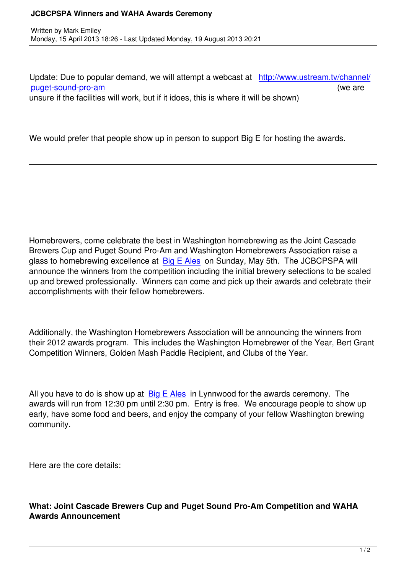Update: Due to popular demand, we will attempt a webcast at http://www.ustream.tv/channel/ puget-sound-pro-am (we are unsure if the facilities will work, but if it idoes, this is where it will be shown)

We would prefer that people show up in person to support Big E for hosting the awards.

Homebrewers, come celebrate the best in Washington homebrewing as the Joint Cascade Brewers Cup and Puget Sound Pro-Am and Washington Homebrewers Association raise a glass to homebrewing excellence at Big E Ales on Sunday, May 5th. The JCBCPSPA will announce the winners from the competition including the initial brewery selections to be scaled up and brewed professionally. Winners can come and pick up their awards and celebrate their accomplishments with their fellow ho[mebrewers](http://bigeales.com/).

Additionally, the Washington Homebrewers Association will be announcing the winners from their 2012 awards program. This includes the Washington Homebrewer of the Year, Bert Grant Competition Winners, Golden Mash Paddle Recipient, and Clubs of the Year.

All you have to do is show up at  $Big E$  Ales in Lynnwood for the awards ceremony. The awards will run from 12:30 pm until 2:30 pm. Entry is free. We encourage people to show up early, have some food and beers, and enjoy the company of your fellow Washington brewing community.

Here are the core details:

**What: Joint Cascade Brewers Cup and Puget Sound Pro-Am Competition and WAHA Awards Announcement**